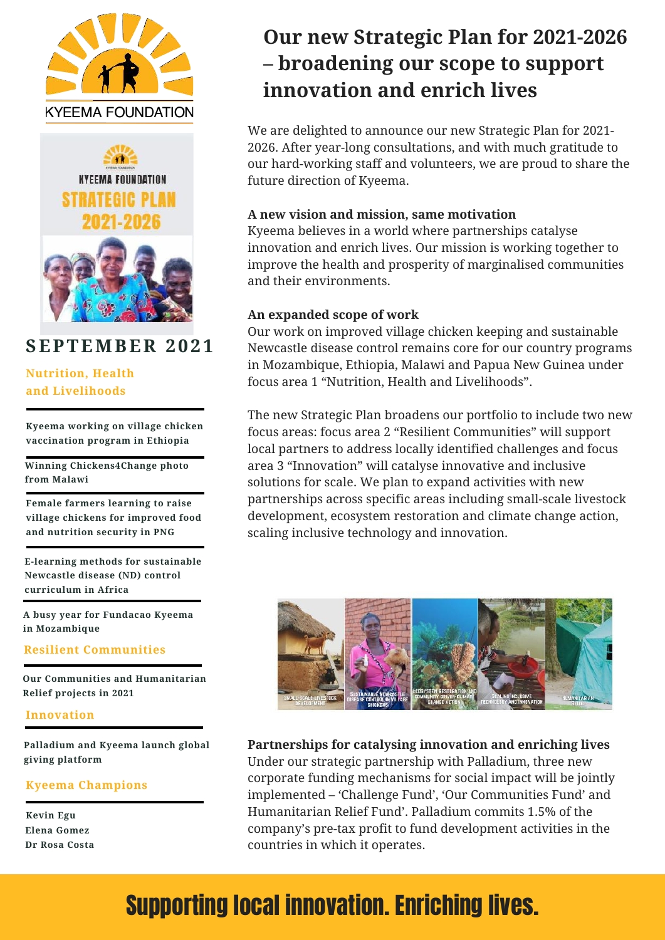



### **SEPTEMBER 2 0 2 1**

### **Nutrition, Health and Livelihoods**

**Kyeema working on village chicken vaccination program in Ethiopia**

**Winning Chickens4Change photo from Malawi**

**Female farmers learning to raise village chickens for improved food and nutrition security in PNG**

**E-learning methods for sustainable Newcastle disease (ND) control curriculum in Africa**

**A busy year for Fundacao Kyeema in Mozambique**

#### **Resilient Communities**

**Our Communities and Humanitarian Relief projects in 2021**

#### **Innovation**

**Palladium and Kyeema launch global giving platform**

#### **Kyeema Champions**

**Kevin Egu Dr Rosa Costa Elena Gomez**

## **Our new Strategic Plan for 2021-2026 – broadening our scope to support innovation and enrich lives**

We are delighted to announce our new Strategic Plan for 2021- 2026. After year-long consultations, and with much gratitude to our hard-working staff and volunteers, we are proud to share the future direction of Kyeema.

#### **A new vision and mission, same motivation**

Kyeema believes in a world where partnerships catalyse innovation and enrich lives. Our mission is working together to improve the health and prosperity of marginalised communities and their environments.

#### **An expanded scope of work**

Our work on improved village chicken keeping and sustainable Newcastle disease control remains core for our country programs in Mozambique, Ethiopia, Malawi and Papua New Guinea under focus area 1 "Nutrition, Health and Livelihoods".

The new Strategic Plan broadens our portfolio to include two new focus areas: focus area 2 "Resilient Communities" will support local partners to address locally identified challenges and focus area 3 "Innovation" will catalyse innovative and inclusive solutions for scale. We plan to expand activities with new partnerships across specific areas including small-scale livestock development, ecosystem restoration and climate change action, scaling inclusive technology and innovation.



**Partnerships for catalysing innovation and enriching lives** Under our strategic partnership with Palladium, three new corporate funding mechanisms for social impact will be jointly implemented – 'Challenge Fund', 'Our Communities Fund' and Humanitarian Relief Fund'. Palladium commits 1.5% of the company's pre-tax profit to fund development activities in the countries in which it operates.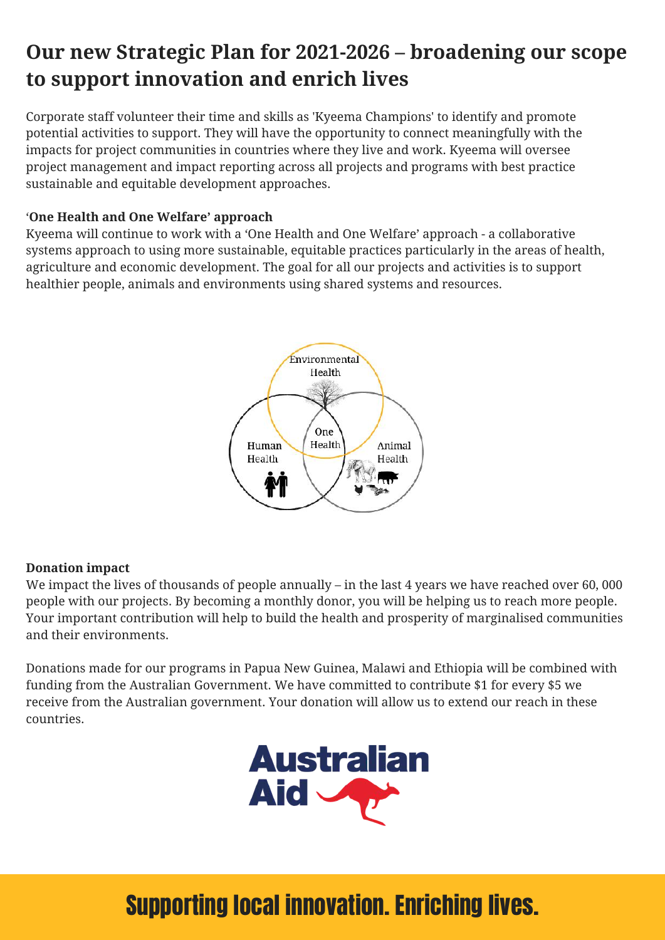## **Our new Strategic Plan for 2021-2026 – broadening our scope to support innovation and enrich lives**

Corporate staff volunteer their time and skills as 'Kyeema Champions' to identify and promote potential activities to support. They will have the opportunity to connect meaningfully with the impacts for project communities in countries where they live and work. Kyeema will oversee project management and impact reporting across all projects and programs with best practice sustainable and equitable development approaches.

### '**One Health and One Welfare' approach**

Kyeema will continue to work with a 'One Health and One Welfare' approach - a collaborative systems approach to using more sustainable, equitable practices particularly in the areas of health, agriculture and economic development. The goal for all our projects and activities is to support healthier people, animals and environments using shared systems and resources.



### **Donation impact**

We impact the lives of thousands of people annually – in the last 4 years we have reached over 60, 000 people with our projects. By becoming a monthly donor, you will be helping us to reach more people. Your important contribution will help to build the health and prosperity of marginalised communities and their environments.

Donations made for our programs in Papua New Guinea, Malawi and Ethiopia will be combined with funding from the Australian Government. We have committed to contribute \$1 for every \$5 we receive from the Australian government. Your donation will allow us to extend our reach in these countries.

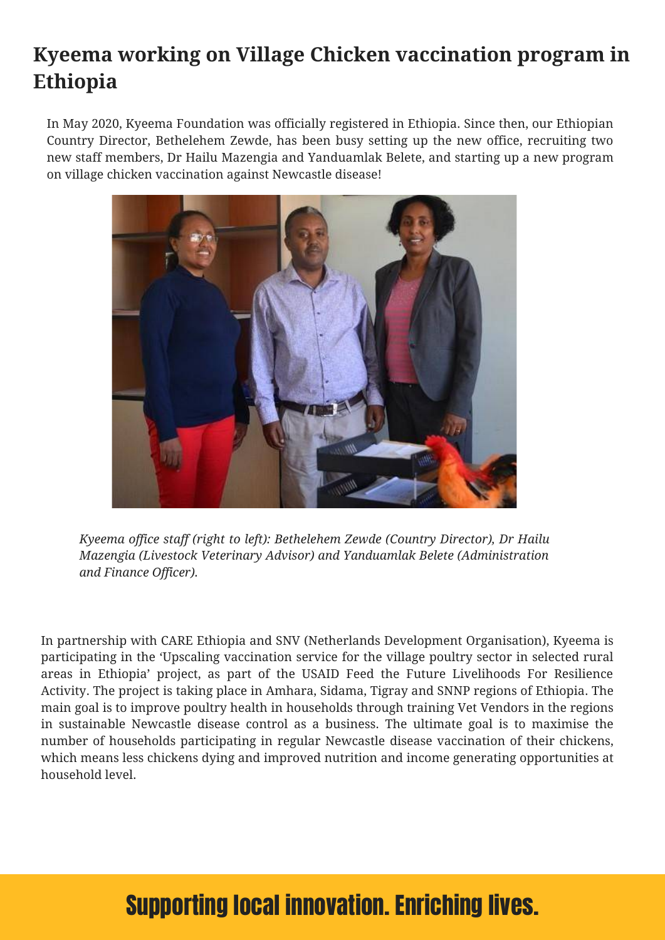## **Kyeema working on Village Chicken vaccination program in Ethiopia**

In May 2020, Kyeema Foundation was officially registered in Ethiopia. Since then, our Ethiopian Country Director, Bethelehem Zewde, has been busy setting up the new office, recruiting two new staff members, Dr Hailu Mazengia and Yanduamlak Belete, and starting up a new program on village chicken vaccination against Newcastle disease!



*Kyeema office staff (right to left): Bethelehem Zewde (Country Director), Dr Hailu Mazengia (Livestock Veterinary Advisor) and Yanduamlak Belete (Administration and Finance Officer).*

In partnership with CARE Ethiopia and SNV (Netherlands Development Organisation), Kyeema is participating in the 'Upscaling vaccination service for the village poultry sector in selected rural areas in Ethiopia' project, as part of the USAID Feed the Future Livelihoods For Resilience Activity. The project is taking place in Amhara, Sidama, Tigray and SNNP regions of Ethiopia. The main goal is to improve poultry health in households through training Vet Vendors in the regions in sustainable Newcastle disease control as a business. The ultimate goal is to maximise the number of households participating in regular Newcastle disease vaccination of their chickens, which means less chickens dying and improved nutrition and income generating opportunities at household level.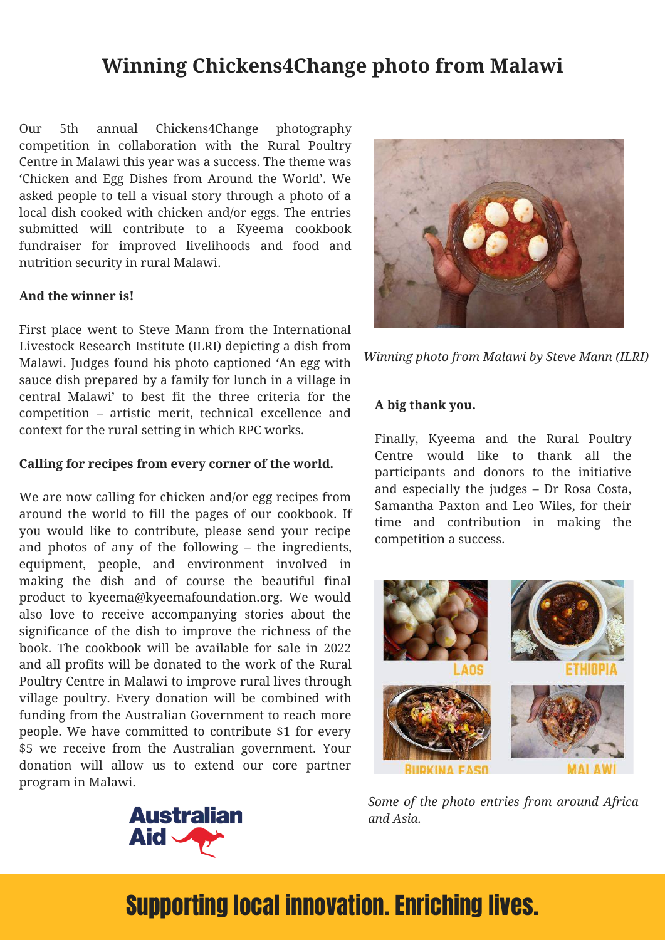### **Winning Chickens4Change photo from Malawi**

Our 5th annual Chickens4Change photography competition in collaboration with the Rural Poultry Centre in Malawi this year was a success. The theme was 'Chicken and Egg Dishes from Around the World'. We asked people to tell a visual story through a photo of a local dish cooked with chicken and/or eggs. The entries submitted will contribute to a Kyeema cookbook fundraiser for improved livelihoods and food and nutrition security in rural Malawi.

#### **And the winner is!**

First place went to Steve Mann from the International Livestock Research Institute (ILRI) depicting a dish from Malawi. Judges found his photo captioned 'An egg with sauce dish prepared by a family for lunch in a village in central Malawi' to best fit the three criteria for the competition – artistic merit, technical excellence and context for the rural setting in which RPC works.

#### **Calling for recipes from every corner of the world.**

We are now calling for chicken and/or egg recipes from around the world to fill the pages of our cookbook. If you would like to contribute, please send your recipe and photos of any of the following – the ingredients, equipment, people, and environment involved in making the dish and of course the beautiful final product to kyeema@kyeemafoundation.org. We would also love to receive accompanying stories about the significance of the dish to improve the richness of the book. The cookbook will be available for sale in 2022 and all profits will be donated to the work of the Rural Poultry Centre in Malawi to improve rural lives through village poultry. Every donation will be combined with funding from the Australian Government to reach more people. We have committed to contribute \$1 for every \$5 we receive from the Australian government. Your donation will allow us to extend our core partner program in Malawi.





*Winning photo from Malawi by Steve Mann (ILRI)*

### **A big thank you.**

Finally, Kyeema and the Rural Poultry Centre would like to thank all the participants and donors to the initiative and especially the judges – Dr Rosa Costa, Samantha Paxton and Leo Wiles, for their time and contribution in making the competition a success.



*Some of the photo entries from around Africa and Asia.*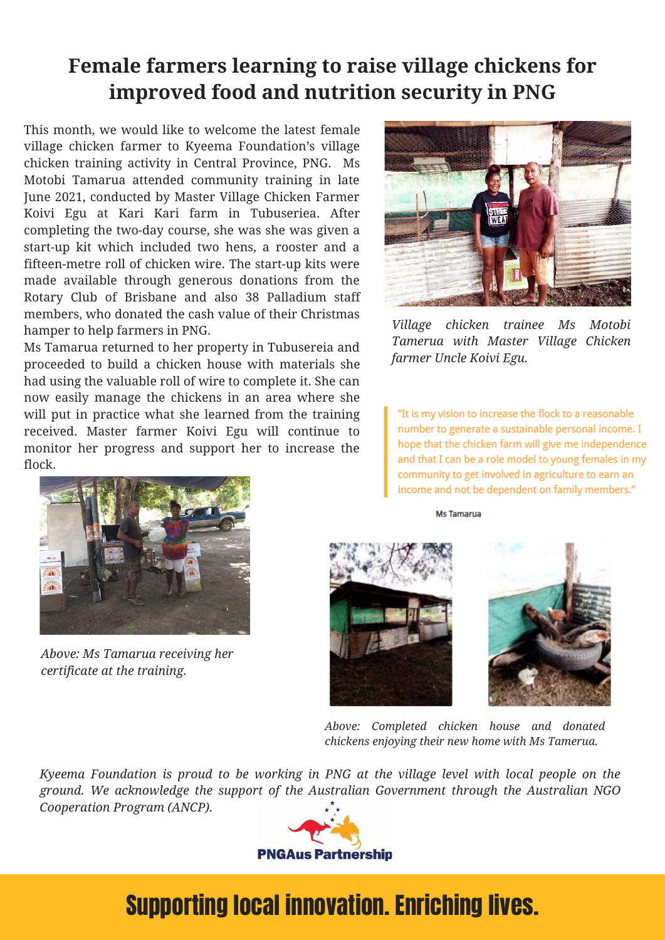### **Female farmers learning to raise village chickens for improved food and nutrition security in PNG**

This month, we would like to welcome the latest female village chicken farmer to Kyeema Foundation's village chicken training activity in Central Province, PNG. Ms Motobi Tamarua attended community training in late June 2021, conducted by Master Village Chicken Farmer Koivi Egu at Kari Kari farm in Tubuseriea. After completing the two-day course, she was she was given a start-up kit which included two hens, a rooster and a fifteen-metre roll of chicken wire. The start-up kits were made available through generous donations from the Rotary Club of Brisbane and also 38 Palladium staff members, who donated the cash value of their Christmas hamper to help farmers in PNG.

Ms Tamarua returned to her property in Tubusereia and proceeded to build a chicken house with materials she had using the valuable roll of wire to complete it. She can now easily manage the chickens in an area where she will put in practice what she learned from the training received. Master farmer Koivi Egu will continue to monitor her progress and support her to increase the flock.



*Village chicken trainee Ms Motobi Tamerua with Master Village Chicken farmer Uncle Koivi Egu.*

"It is my vision to increase the flock to a reasonable number to generate a sustainable personal income. I hope that the chicken farm will give me independence and that I can be a role model to young females in my community to get involved in agriculture to earn an income and not be dependent on family members."

Ms Tamarua



*Above: Ms Tamarua receiving her certificate at the training.*





*Above: Completed chicken house and donated chickens enjoying their new home with Ms Tamerua.*

*Kyeema Foundation is proud to be working in PNG at the village level with local people on the ground. We acknowledge the support of the Australian Government through the Australian NGO Cooperation Program (ANCP).*

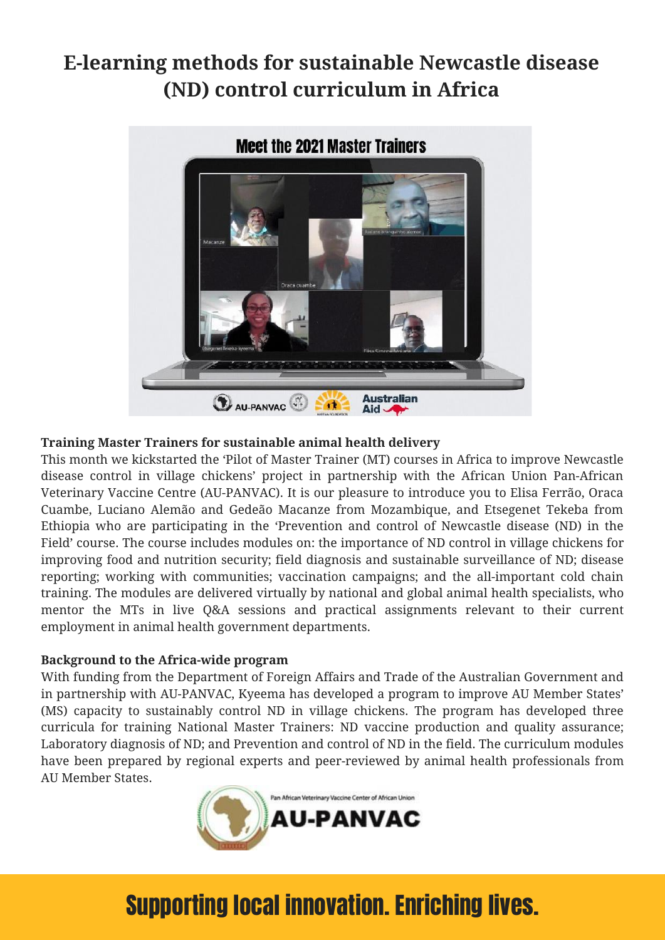## **E-learning methods for sustainable Newcastle disease (ND) control curriculum in Africa**



### **Training Master Trainers for sustainable animal health delivery**

This month we kickstarted the 'Pilot of Master Trainer (MT) courses in Africa to improve Newcastle disease control in village chickens' project in partnership with the African Union Pan-African Veterinary Vaccine Centre (AU-PANVAC). It is our pleasure to introduce you to Elisa Ferrão, Oraca Cuambe, Luciano Alemão and Gedeão Macanze from Mozambique, and Etsegenet Tekeba from Ethiopia who are participating in the 'Prevention and control of Newcastle disease (ND) in the Field' course. The course includes modules on: the importance of ND control in village chickens for improving food and nutrition security; field diagnosis and sustainable surveillance of ND; disease reporting; working with communities; vaccination campaigns; and the all-important cold chain training. The modules are delivered virtually by national and global animal health specialists, who mentor the MTs in live Q&A sessions and practical assignments relevant to their current employment in animal health government departments.

### **Background to the Africa-wide program**

With funding from the Department of Foreign Affairs and Trade of the Australian Government and in partnership with AU-PANVAC, Kyeema has developed a program to improve AU Member States' (MS) capacity to sustainably control ND in village chickens. The program has developed three curricula for training National Master Trainers: ND vaccine production and quality assurance; Laboratory diagnosis of ND; and Prevention and control of ND in the field. The curriculum modules have been prepared by regional experts and peer-reviewed by animal health professionals from AU Member States.

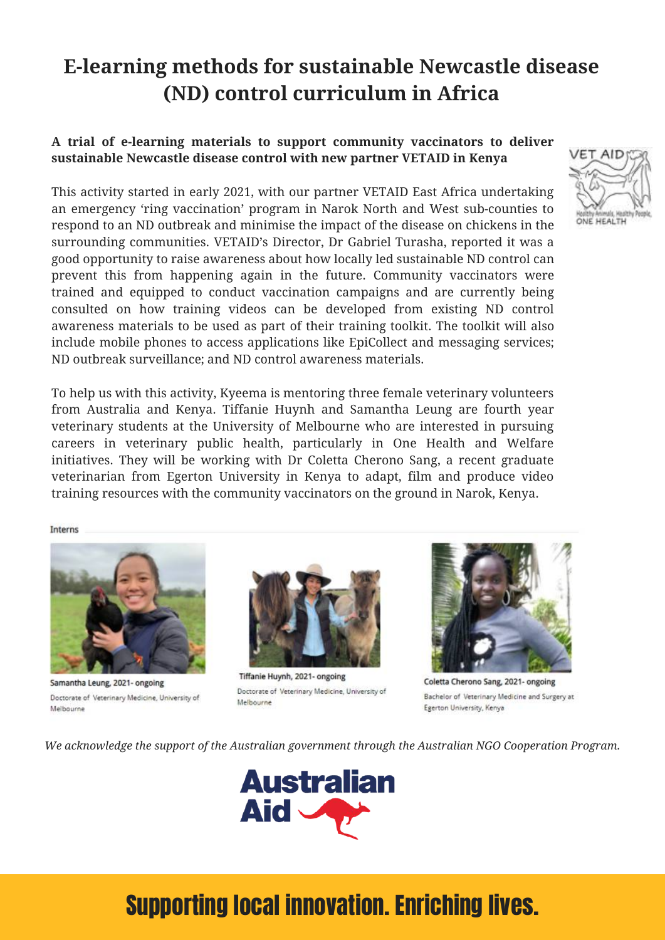## **E-learning methods for sustainable Newcastle disease (ND) control curriculum in Africa**

### **A trial of e-learning materials to support community vaccinators to deliver sustainable Newcastle disease control with new partner VETAID in Kenya**

This activity started in early 2021, with our partner VETAID East Africa undertaking an emergency 'ring vaccination' program in Narok North and West sub-counties to respond to an ND outbreak and minimise the impact of the disease on chickens in the surrounding communities. VETAID's Director, Dr Gabriel Turasha, reported it was a good opportunity to raise awareness about how locally led sustainable ND control can prevent this from happening again in the future. Community vaccinators were trained and equipped to conduct vaccination campaigns and are currently being consulted on how training videos can be developed from existing ND control awareness materials to be used as part of their training toolkit. The toolkit will also include mobile phones to access applications like EpiCollect and messaging services; ND outbreak surveillance; and ND control awareness materials.

To help us with this activity, Kyeema is mentoring three female veterinary volunteers from Australia and Kenya. Tiffanie Huynh and Samantha Leung are fourth year veterinary students at the University of Melbourne who are interested in pursuing careers in veterinary public health, particularly in One Health and Welfare initiatives. They will be working with Dr Coletta Cherono Sang, a recent graduate veterinarian from Egerton University in Kenya to adapt, film and produce video training resources with the community vaccinators on the ground in Narok, Kenya.

Interns

Samantha Leung, 2021- ongoing Doctorate of Veterinary Medicine, University of Melbourne



Tiffanie Huynh, 2021- ongoing Doctorate of Veterinary Medicine, University of Melbourne



Coletta Cherono Sang, 2021- ongoing Bachelor of Veterinary Medicine and Surgery at Egerton University, Kenya

*We acknowledge the support of the Australian government through the Australian NGO Cooperation Program.*



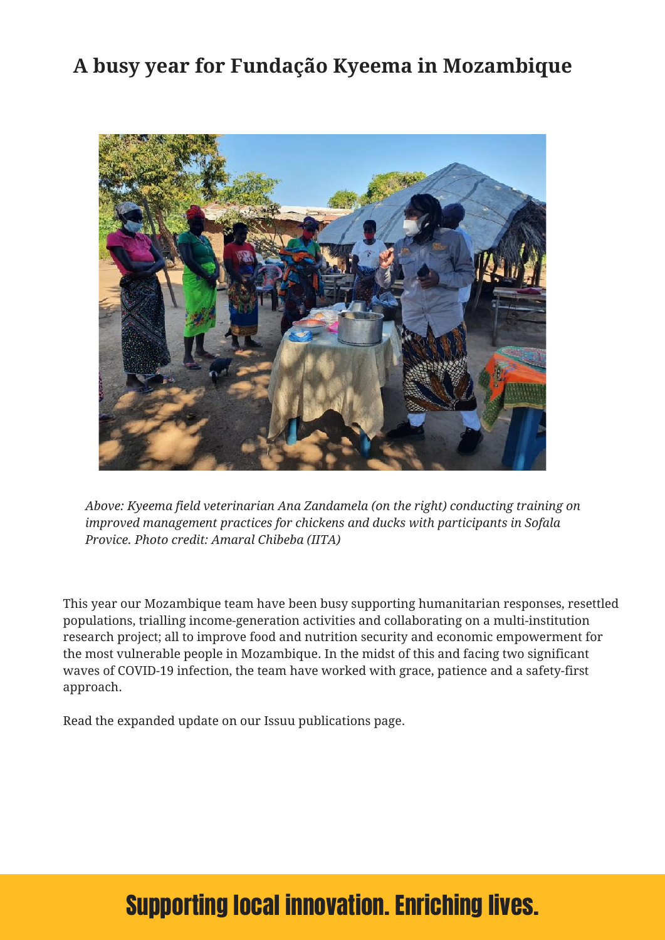### **A busy year for Fundação Kyeema in Mozambique**



*Above: Kyeema field veterinarian Ana Zandamela (on the right) conducting training on improved management practices for chickens and ducks with participants in Sofala Provice. Photo credit: Amaral Chibeba (IITA)*

This year our Mozambique team have been busy supporting humanitarian responses, resettled populations, trialling income-generation activities and collaborating on a multi-institution research project; all to improve food and nutrition security and economic empowerment for the most vulnerable people in Mozambique. In the midst of this and facing two significant waves of COVID-19 infection, the team have worked with grace, patience and a safety-first approach.

Read the expanded update on our Issuu publications page.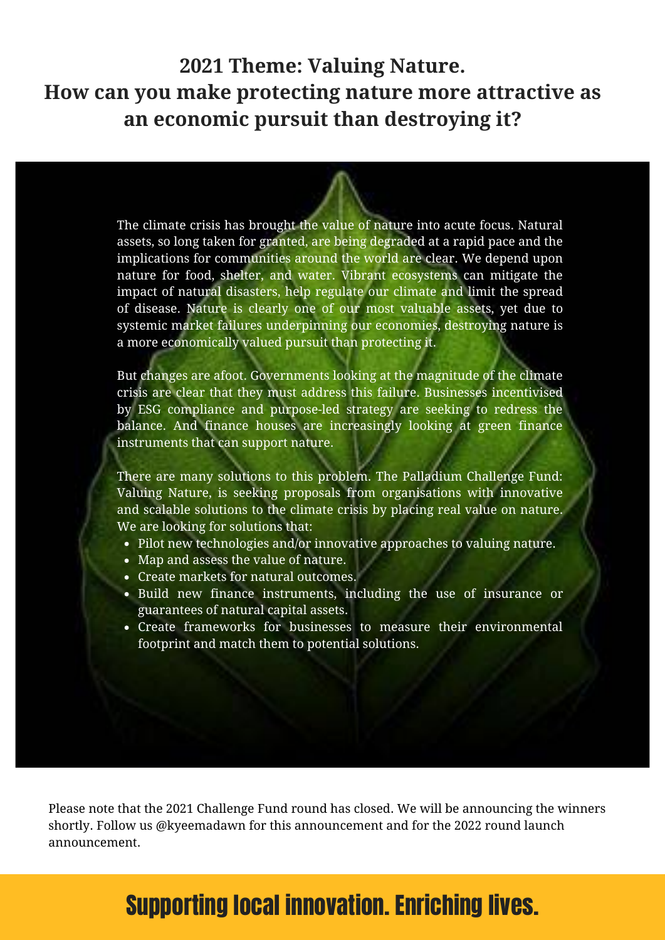### **2021 Theme: Valuing Nature. How can you make protecting nature more attractive as an economic pursuit than destroying it?**

The climate crisis has brought the value of nature into acute focus. Natural assets, so long taken for granted, are being degraded at a rapid pace and the implications for communities around the world are clear. We depend upon nature for food, shelter, and water. Vibrant ecosystems can mitigate the impact of natural disasters, help regulate our climate and limit the spread of disease. Nature is clearly one of our most valuable assets, yet due to systemic market failures underpinning our economies, destroying nature is a more economically valued pursuit than protecting it.

But changes are afoot. Governments looking at the magnitude of the climate crisis are clear that they must address this failure. Businesses incentivised by ESG compliance and purpose-led strategy are seeking to redress the balance. And finance houses are increasingly looking at green finance instruments that can support nature.

There are many solutions to this problem. The Palladium Challenge Fund: Valuing Nature, is seeking proposals from organisations with innovative and scalable solutions to the climate crisis by placing real value on nature. We are looking for solutions that:

- Pilot new technologies and/or innovative approaches to valuing nature.
- Map and assess the value of nature.
- Create markets for natural outcomes.
- Build new finance instruments, including the use of insurance or guarantees of natural capital assets.
- Create frameworks for businesses to measure their environmental footprint and match them to potential solutions.

Please note that the 2021 Challenge Fund round has closed. We will be announcing the winners shortly. Follow us @kyeemadawn for this announcement and for the 2022 round launch announcement.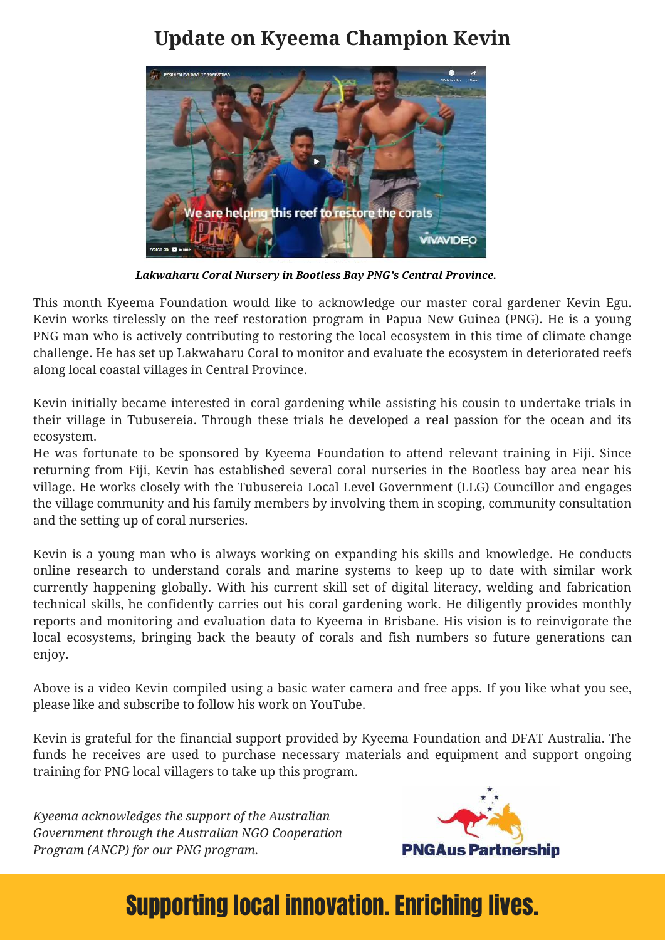### **Update on Kyeema Champion Kevin**



*Lakwaharu Coral Nursery in Bootless Bay PNG's Central Province.*

This month Kyeema Foundation would like to acknowledge our master coral gardener Kevin Egu. Kevin works tirelessly on the reef restoration program in Papua New Guinea (PNG). He is a young PNG man who is actively contributing to restoring the local ecosystem in this time of climate change challenge. He has set up Lakwaharu Coral to monitor and evaluate the ecosystem in deteriorated reefs along local coastal villages in Central Province.

Kevin initially became interested in coral gardening while assisting his cousin to undertake trials in their village in Tubusereia. Through these trials he developed a real passion for the ocean and its ecosystem.

He was fortunate to be sponsored by Kyeema Foundation to attend relevant training in Fiji. Since returning from Fiji, Kevin has established several coral nurseries in the Bootless bay area near his village. He works closely with the Tubusereia Local Level Government (LLG) Councillor and engages the village community and his family members by involving them in scoping, community consultation and the setting up of coral nurseries.

Kevin is a young man who is always working on expanding his skills and knowledge. He conducts online research to understand corals and marine systems to keep up to date with similar work currently happening globally. With his current skill set of digital literacy, welding and fabrication technical skills, he confidently carries out his coral gardening work. He diligently provides monthly reports and monitoring and evaluation data to Kyeema in Brisbane. His vision is to reinvigorate the local ecosystems, bringing back the beauty of corals and fish numbers so future generations can enjoy.

Above is a video Kevin compiled using a basic water camera and free apps. If you like what you see, please like and subscribe to follow his work on YouTube.

Kevin is grateful for the financial support provided by Kyeema Foundation and DFAT Australia. The funds he receives are used to purchase necessary materials and equipment and support ongoing training for PNG local villagers to take up this program.

*Kyeema acknowledges the support of the Australian Government through the Australian NGO Cooperation Program (ANCP) for our PNG program.*

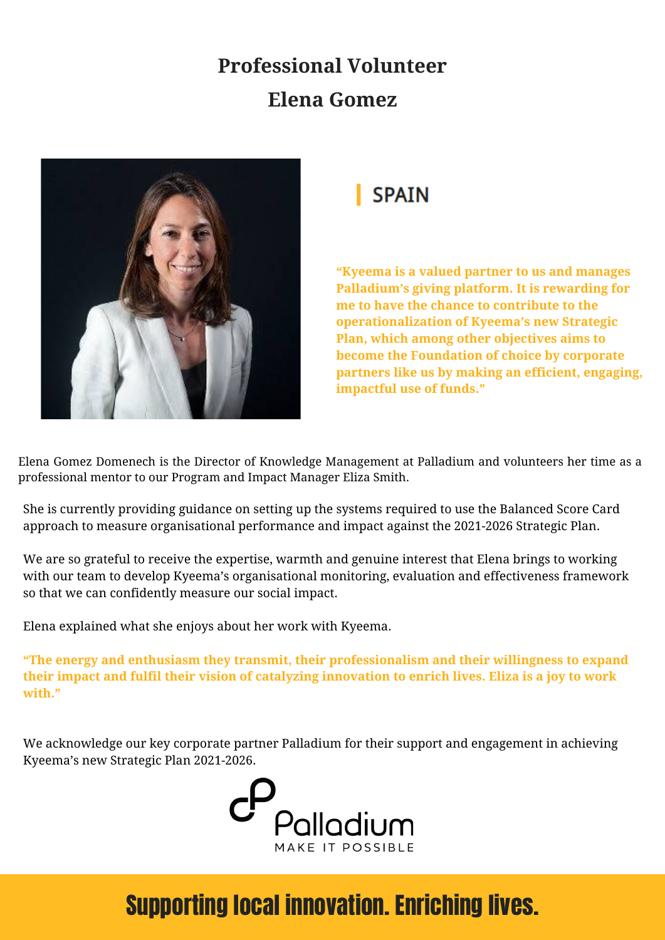## **Professional Volunteer Elena Gomez**



## **SPAIN**

**"Kyeema is a valued partner to us and manages Palladium's giving platform. It is rewarding for me to have the chance to contribute to the operationalization of Kyeema's new Strategic Plan, which among other objectives aims to become the Foundation of choice by corporate partners like us by making an efficient, engaging, impactful use of funds."**

Elena Gomez Domenech is the Director of Knowledge Management at Palladium and volunteers her time as a professional mentor to our Program and Impact Manager Eliza Smith.

She is currently providing guidance on setting up the systems required to use the Balanced Score Card approach to measure organisational performance and impact against the 2021-2026 Strategic Plan.

We are so grateful to receive the expertise, warmth and genuine interest that Elena brings to working with our team to develop Kyeema's organisational monitoring, evaluation and effectiveness framework so that we can confidently measure our social impact.

Elena explained what she enjoys about her work with Kyeema.

**"The energy and enthusiasm they transmit, their professionalism and their willingness to expand** their impact and fulfil their vision of catalyzing innovation to enrich lives. Eliza is a joy to work **with."**

We acknowledge our key corporate partner Palladium for their support and engagement in achieving Kyeema's new Strategic Plan 2021-2026.

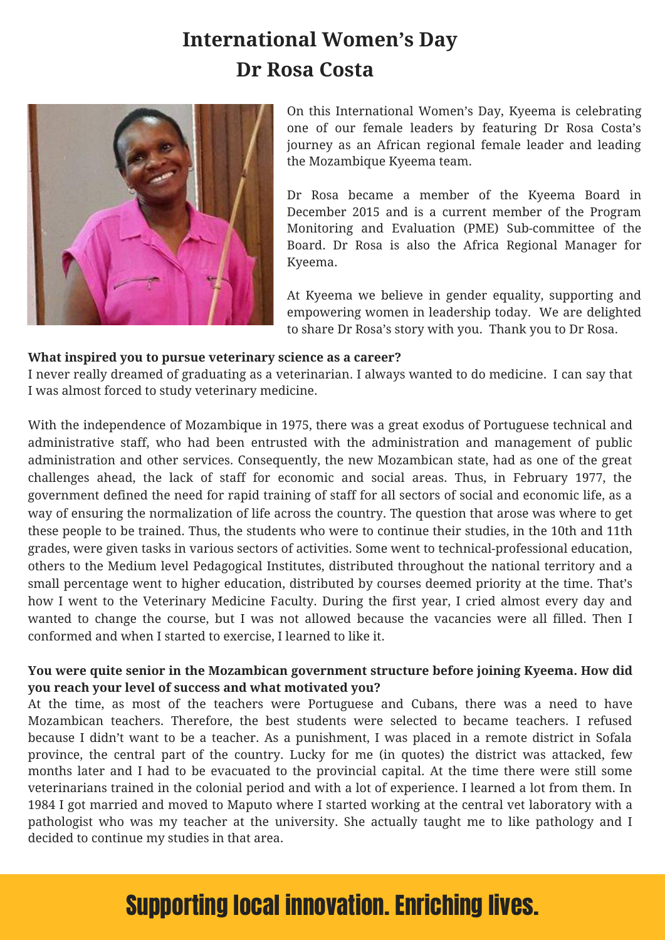### **International Women's Day Dr Rosa Costa**



On this International Women's Day, Kyeema is celebrating one of our female leaders by featuring Dr Rosa Costa's journey as an African regional female leader and leading the Mozambique Kyeema team.

Dr Rosa became a member of the Kyeema Board in December 2015 and is a current member of the Program Monitoring and Evaluation (PME) Sub-committee of the Board. Dr Rosa is also the Africa Regional Manager for Kyeema.

At Kyeema we believe in gender equality, supporting and empowering women in leadership today. We are delighted to share Dr Rosa's story with you. Thank you to Dr Rosa.

#### **What inspired you to pursue veterinary science as a career?**

I never really dreamed of graduating as a veterinarian. I always wanted to do medicine. I can say that I was almost forced to study veterinary medicine.

With the independence of Mozambique in 1975, there was a great exodus of Portuguese technical and administrative staff, who had been entrusted with the administration and management of public administration and other services. Consequently, the new Mozambican state, had as one of the great challenges ahead, the lack of staff for economic and social areas. Thus, in February 1977, the government defined the need for rapid training of staff for all sectors of social and economic life, as a way of ensuring the normalization of life across the country. The question that arose was where to get these people to be trained. Thus, the students who were to continue their studies, in the 10th and 11th grades, were given tasks in various sectors of activities. Some went to technical-professional education, others to the Medium level Pedagogical Institutes, distributed throughout the national territory and a small percentage went to higher education, distributed by courses deemed priority at the time. That's how I went to the Veterinary Medicine Faculty. During the first year, I cried almost every day and wanted to change the course, but I was not allowed because the vacancies were all filled. Then I conformed and when I started to exercise, I learned to like it.

### **You were quite senior in the Mozambican government structure before joining Kyeema. How did you reach your level of success and what motivated you?**

At the time, as most of the teachers were Portuguese and Cubans, there was a need to have Mozambican teachers. Therefore, the best students were selected to became teachers. I refused because I didn't want to be a teacher. As a punishment, I was placed in a remote district in Sofala province, the central part of the country. Lucky for me (in quotes) the district was attacked, few months later and I had to be evacuated to the provincial capital. At the time there were still some veterinarians trained in the colonial period and with a lot of experience. I learned a lot from them. In 1984 I got married and moved to Maputo where I started working at the central vet laboratory with a pathologist who was my teacher at the university. She actually taught me to like pathology and I decided to continue my studies in that area.